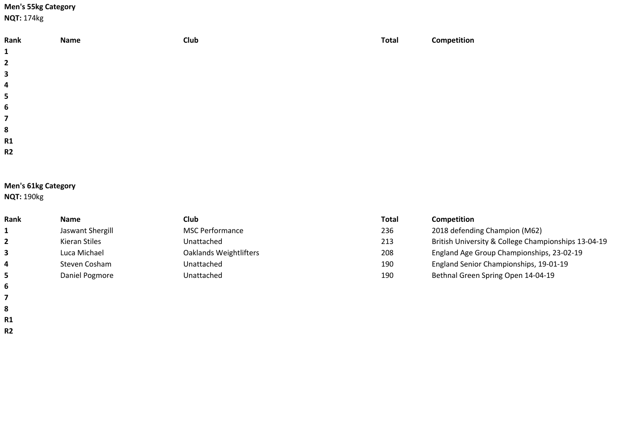# **Men's 55kg Category**

**NQT:** 174kg

| Rank<br>$\mathbf{1}$    | Name | <b>Club</b> | <b>Total</b> | Competition |
|-------------------------|------|-------------|--------------|-------------|
|                         |      |             |              |             |
| $\overline{2}$          |      |             |              |             |
| $\mathbf{3}$            |      |             |              |             |
| $\overline{\mathbf{4}}$ |      |             |              |             |
| $5\phantom{a}$          |      |             |              |             |
| $\boldsymbol{6}$        |      |             |              |             |
| $\overline{\mathbf{z}}$ |      |             |              |             |
| ${\bf 8}$               |      |             |              |             |
| R1                      |      |             |              |             |
| R2                      |      |             |              |             |
|                         |      |             |              |             |

# **Men's 61kg Category**

**NQT:** 190kg

 **R1 R2**

| Rank         | <b>Name</b>      | Club                   | Total | <b>Competition</b>                                  |
|--------------|------------------|------------------------|-------|-----------------------------------------------------|
|              | Jaswant Shergill | <b>MSC Performance</b> | 236   | 2018 defending Champion (M62)                       |
| $\mathbf{2}$ | Kieran Stiles    | Unattached             | 213   | British University & College Championships 13-04-19 |
| 3            | Luca Michael     | Oaklands Weightlifters | 208   | England Age Group Championships, 23-02-19           |
| 4            | Steven Cosham    | Unattached             | 190   | England Senior Championships, 19-01-19              |
| 5.           | Daniel Pogmore   | Unattached             | 190   | Bethnal Green Spring Open 14-04-19                  |
| 6            |                  |                        |       |                                                     |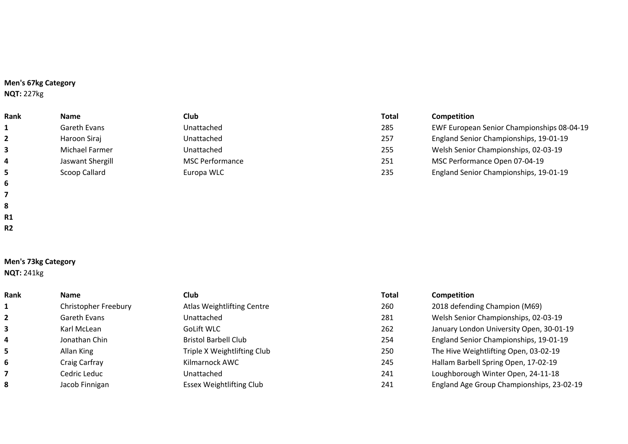# **Men's 67kg Category**

**NQT:** 227kg

| Rank                    | <b>Name</b>      | <b>Club</b>            | <b>Total</b> | <b>Competition</b>                         |
|-------------------------|------------------|------------------------|--------------|--------------------------------------------|
|                         | Gareth Evans     | Unattached             | 285          | EWF European Senior Championships 08-04-19 |
| $\overline{2}$          | Haroon Siraj     | Unattached             | 257          | England Senior Championships, 19-01-19     |
|                         | Michael Farmer   | Unattached             | 255          | Welsh Senior Championships, 02-03-19       |
| $\overline{\mathbf{4}}$ | Jaswant Shergill | <b>MSC Performance</b> | 251          | MSC Performance Open 07-04-19              |
|                         | Scoop Callard    | Europa WLC             | 235          | England Senior Championships, 19-01-19     |
| 6                       |                  |                        |              |                                            |

**Men's 73kg Category**

**NQT:** 241kg

 **R1 R2**

| Rank                    | <b>Name</b>          | <b>Club</b>                     | <b>Total</b> | Competition                               |
|-------------------------|----------------------|---------------------------------|--------------|-------------------------------------------|
| $\mathbf{1}$            | Christopher Freebury | Atlas Weightlifting Centre      | 260          | 2018 defending Champion (M69)             |
| $\overline{2}$          | Gareth Evans         | Unattached                      | 281          | Welsh Senior Championships, 02-03-19      |
| $\overline{\mathbf{3}}$ | Karl McLean          | GoLift WLC                      | 262          | January London University Open, 30-01-19  |
| 4                       | Jonathan Chin        | <b>Bristol Barbell Club</b>     | 254          | England Senior Championships, 19-01-19    |
| 5                       | Allan King           | Triple X Weightlifting Club     | 250          | The Hive Weightlifting Open, 03-02-19     |
| 6                       | Craig Carfray        | Kilmarnock AWC                  | 245          | Hallam Barbell Spring Open, 17-02-19      |
| $\overline{7}$          | Cedric Leduc         | Unattached                      | 241          | Loughborough Winter Open, 24-11-18        |
| 8                       | Jacob Finnigan       | <b>Essex Weightlifting Club</b> | 241          | England Age Group Championships, 23-02-19 |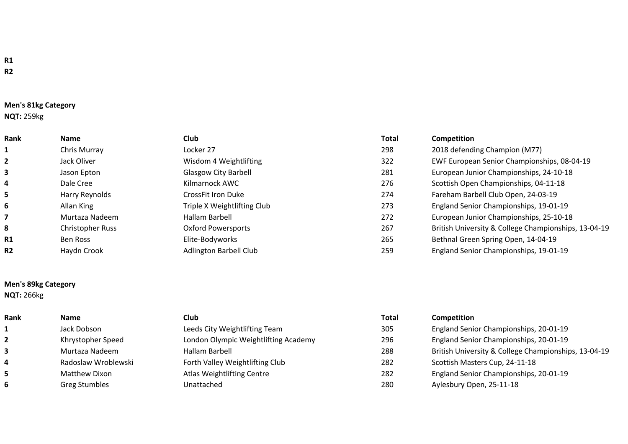## **Men's 81kg Category**

## **NQT:** 259kg

| Rank           | Name                    | <b>Club</b>                   | <b>Total</b> | Competition                                          |
|----------------|-------------------------|-------------------------------|--------------|------------------------------------------------------|
| $\mathbf{1}$   | Chris Murray            | Locker 27                     | 298          | 2018 defending Champion (M77)                        |
| $\overline{2}$ | Jack Oliver             | Wisdom 4 Weightlifting        | 322          | EWF European Senior Championships, 08-04-19          |
| 3              | Jason Epton             | <b>Glasgow City Barbell</b>   | 281          | European Junior Championships, 24-10-18              |
| 4              | Dale Cree               | Kilmarnock AWC                | 276          | Scottish Open Championships, 04-11-18                |
| 5              | Harry Reynolds          | CrossFit Iron Duke            | 274          | Fareham Barbell Club Open, 24-03-19                  |
| 6              | Allan King              | Triple X Weightlifting Club   | 273          | England Senior Championships, 19-01-19               |
| 7              | Murtaza Nadeem          | Hallam Barbell                | 272          | European Junior Championships, 25-10-18              |
| 8              | <b>Christopher Russ</b> | <b>Oxford Powersports</b>     | 267          | British University & College Championships, 13-04-19 |
| R1             | Ben Ross                | Elite-Bodyworks               | 265          | Bethnal Green Spring Open, 14-04-19                  |
| <b>R2</b>      | Haydn Crook             | <b>Adlington Barbell Club</b> | 259          | England Senior Championships, 19-01-19               |

# **Men's 89kg Category**

**NQT:** 266kg

| <b>Rank</b> | <b>Name</b>          | Club.                                | <b>Total</b> | <b>Competition</b>                                   |
|-------------|----------------------|--------------------------------------|--------------|------------------------------------------------------|
|             | Jack Dobson          | Leeds City Weightlifting Team        | 305          | England Senior Championships, 20-01-19               |
|             | Khrystopher Speed    | London Olympic Weightlifting Academy | 296          | England Senior Championships, 20-01-19               |
|             | Murtaza Nadeem       | Hallam Barbell                       | 288          | British University & College Championships, 13-04-19 |
|             | Radoslaw Wroblewski  | Forth Valley Weightlifting Club      | 282          | Scottish Masters Cup, 24-11-18                       |
|             | Matthew Dixon        | Atlas Weightlifting Centre           | 282          | England Senior Championships, 20-01-19               |
|             | <b>Greg Stumbles</b> | Unattached                           | 280          | Aylesbury Open, 25-11-18                             |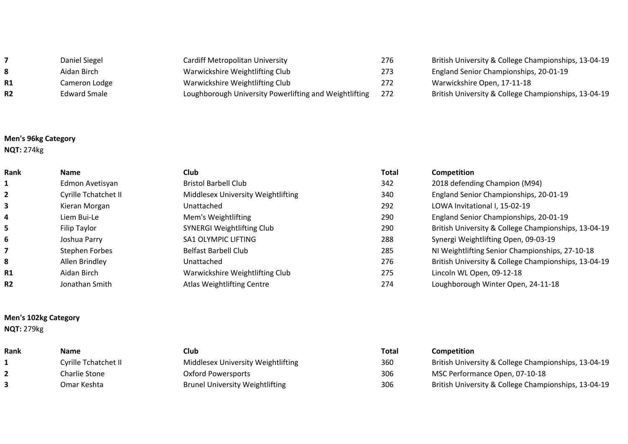|           | Daniel Siegel | Cardiff Metropolitan University                        | 276   |
|-----------|---------------|--------------------------------------------------------|-------|
| 8         | Aidan Birch   | Warwickshire Weightlifting Club                        | 273   |
| <b>R1</b> | Cameron Lodge | Warwickshire Weightlifting Club                        | 272   |
| <b>R2</b> | Edward Smale  | Loughborough University Powerlifting and Weightlifting | - 272 |

## **Men's 96kg Category**

**NQT:** 274kg

| <b>Rank</b>    | <b>Name</b>          | Club.                              | Total | Competition                                          |
|----------------|----------------------|------------------------------------|-------|------------------------------------------------------|
| 1              | Edmon Avetisyan      | <b>Bristol Barbell Club</b>        | 342   | 2018 defending Champion (M94)                        |
| $\mathbf{2}$   | Cyrille Tchatchet II | Middlesex University Weightlifting | 340   | England Senior Championships, 20-01-19               |
| 3              | Kieran Morgan        | Unattached                         | 292   | LOWA Invitational I, 15-02-19                        |
| 4              | Liem Bui-Le          | Mem's Weightlifting                | 290   | England Senior Championships, 20-01-19               |
| 5.             | Filip Taylor         | <b>SYNERGI Weightlifting Club</b>  | 290   | British University & College Championships, 13-04-19 |
| 6              | Joshua Parry         | SA1 OLYMPIC LIFTING                | 288   | Synergi Weightlifting Open, 09-03-19                 |
|                | Stephen Forbes       | <b>Belfast Barbell Club</b>        | 285   | NI Weightlifting Senior Championships, 27-10-18      |
| 8              | Allen Brindley       | Unattached                         | 276   | British University & College Championships, 13-04-19 |
| R1             | Aidan Birch          | Warwickshire Weightlifting Club    | 275   | Lincoln WL Open, 09-12-18                            |
| R <sub>2</sub> | Jonathan Smith       | Atlas Weightlifting Centre         | 274   | Loughborough Winter Open, 24-11-18                   |

#### **Men's 102kg Category**

**NQT:** 279kg

| Rank | <b>Name</b>                 | Club                                   | Total | <b>Competition</b>                                   |
|------|-----------------------------|----------------------------------------|-------|------------------------------------------------------|
|      | <b>Cyrille Tchatchet II</b> | Middlesex University Weightlifting     | 360   | British University & College Championships, 13-04-19 |
|      | Charlie Stone               | Oxford Powersports                     | 306   | MSC Performance Open, 07-10-18                       |
|      | Omar Keshta                 | <b>Brunel University Weightlifting</b> | 306   | British University & College Championships, 13-04-19 |

**British University & College Championships, 13-04-19** 

**British University & College Championships, 13-04-19** 

**England Senior Championships, 20-01-19** 

Warwickshire Open, 17-11-18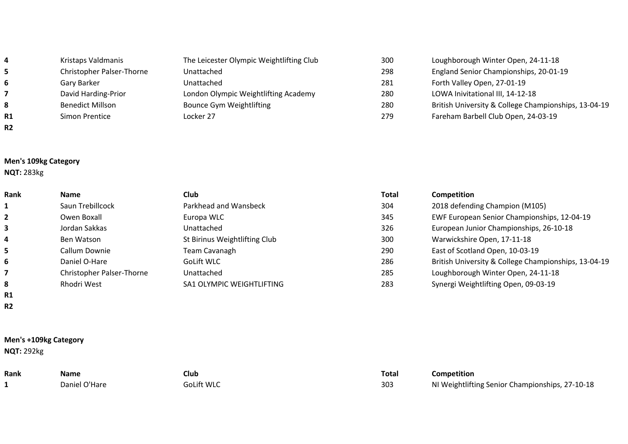| 4              | Kristaps Valdmanis        | The Leicester Olympic Weightlifting Club | 300 | Loughborough Winter Open, 24-11-18                   |
|----------------|---------------------------|------------------------------------------|-----|------------------------------------------------------|
| 5.             | Christopher Palser-Thorne | Unattached                               | 298 | England Senior Championships, 20-01-19               |
| 6              | Gary Barker               | Unattached                               | 281 | Forth Valley Open, 27-01-19                          |
|                | David Harding-Prior       | London Olympic Weightlifting Academy     | 280 | LOWA Inivitational III, 14-12-18                     |
| 8              | <b>Benedict Millson</b>   | Bounce Gym Weightlifting                 | 280 | British University & College Championships, 13-04-19 |
| R1             | Simon Prentice            | Locker 27                                | 279 | Fareham Barbell Club Open, 24-03-19                  |
| R <sub>2</sub> |                           |                                          |     |                                                      |

#### **Men's 109kg Category**

**NQT:** 283kg

**R1 R2**

| Rank | <b>Name</b>               | <b>Club</b>                   | <b>Total</b> | <b>Competition</b>                                   |
|------|---------------------------|-------------------------------|--------------|------------------------------------------------------|
|      | Saun Trebillcock          | Parkhead and Wansbeck         | 304          | 2018 defending Champion (M105)                       |
|      | Owen Boxall               | Europa WLC                    | 345          | EWF European Senior Championships, 12-04-19          |
|      | Jordan Sakkas             | Unattached                    | 326          | European Junior Championships, 26-10-18              |
| 4    | Ben Watson                | St Birinus Weightlifting Club | 300          | Warwickshire Open, 17-11-18                          |
|      | Callum Downie             | Team Cavanagh                 | 290          | East of Scotland Open, 10-03-19                      |
| 6    | Daniel O-Hare             | GoLift WLC                    | 286          | British University & College Championships, 13-04-19 |
|      | Christopher Palser-Thorne | Unattached                    | 285          | Loughborough Winter Open, 24-11-18                   |
| 8    | <b>Rhodri West</b>        | SA1 OLYMPIC WEIGHTLIFTING     | 283          | Synergi Weightlifting Open, 09-03-19                 |
|      |                           |                               |              |                                                      |

### **Men's +109kg Category NQT:** 292kg

| Rank | Name          | Club       | <b>Total</b> | Competition   |
|------|---------------|------------|--------------|---------------|
|      | Daniel O'Hare | GoLift WLC | 303          | NI Weightlift |

| Rank | <b>Name</b>   | Club       | Total | Competition                                     |
|------|---------------|------------|-------|-------------------------------------------------|
|      | Daniel O'Hare | GoLift WLC | 303   | NI Weightlifting Senior Championships, 27-10-18 |